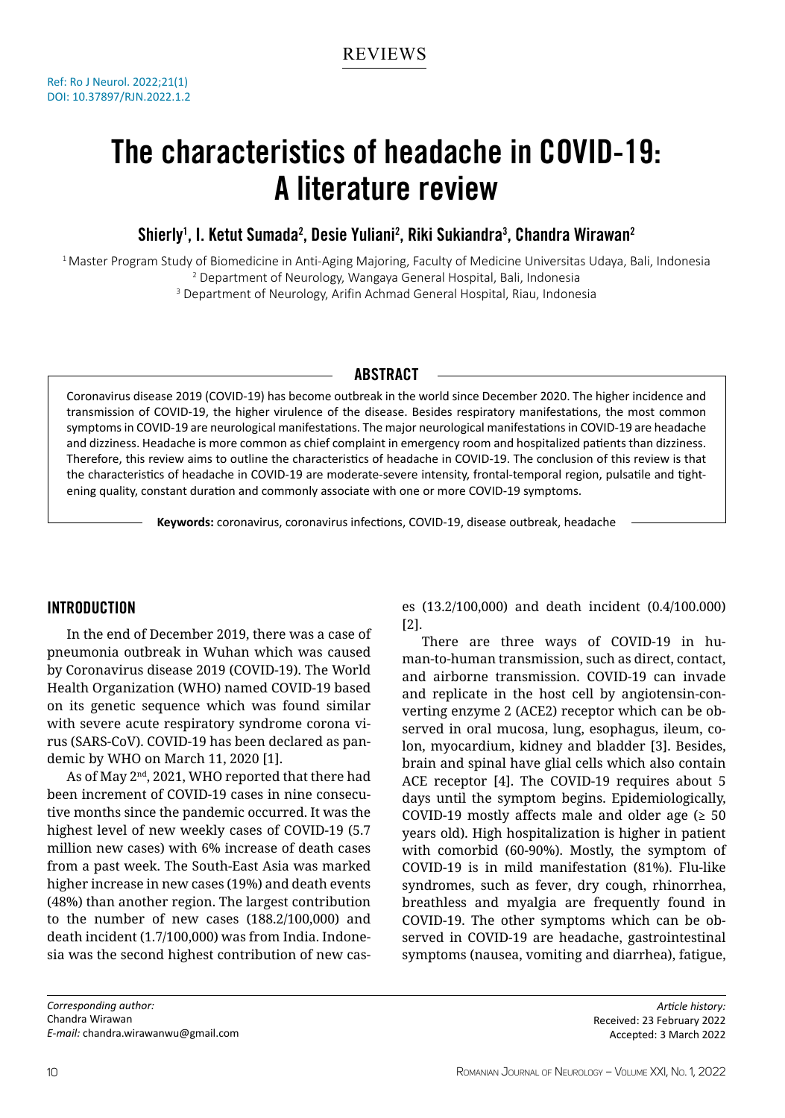# The characteristics of headache in COVID-19: A literature review

Shierly<sup>1</sup>, I. Ketut Sumada<sup>2</sup>, Desie Yuliani<sup>2</sup>, Riki Sukiandra<sup>3</sup>, Chandra Wirawan<sup>2</sup>

<sup>1</sup> Master Program Study of Biomedicine in Anti-Aging Majoring, Faculty of Medicine Universitas Udaya, Bali, Indonesia 2 Department of Neurology, Wangaya General Hospital, Bali, Indonesia

3 Department of Neurology, Arifin Achmad General Hospital, Riau, Indonesia

# **ABSTRACT**

Coronavirus disease 2019 (COVID-19) has become outbreak in the world since December 2020. The higher incidence and transmission of COVID-19, the higher virulence of the disease. Besides respiratory manifestations, the most common symptoms in COVID-19 are neurological manifestations. The major neurological manifestations in COVID-19 are headache and dizziness. Headache is more common as chief complaint in emergency room and hospitalized patients than dizziness. Therefore, this review aims to outline the characteristics of headache in COVID-19. The conclusion of this review is that the characteristics of headache in COVID-19 are moderate-severe intensity, frontal-temporal region, pulsatile and tightening quality, constant duration and commonly associate with one or more COVID-19 symptoms.

**Keywords:** coronavirus, coronavirus infections, COVID-19, disease outbreak, headache

# Introduction

In the end of December 2019, there was a case of pneumonia outbreak in Wuhan which was caused by Coronavirus disease 2019 (COVID-19). The World Health Organization (WHO) named COVID-19 based on its genetic sequence which was found similar with severe acute respiratory syndrome corona virus (SARS-CoV). COVID-19 has been declared as pandemic by WHO on March 11, 2020 [1].

As of May 2nd, 2021, WHO reported that there had been increment of COVID-19 cases in nine consecutive months since the pandemic occurred. It was the highest level of new weekly cases of COVID-19 (5.7 million new cases) with 6% increase of death cases from a past week. The South-East Asia was marked higher increase in new cases (19%) and death events (48%) than another region. The largest contribution to the number of new cases (188.2/100,000) and death incident (1.7/100,000) was from India. Indonesia was the second highest contribution of new cases (13.2/100,000) and death incident (0.4/100.000) [2].

There are three ways of COVID-19 in human-to-human transmission, such as direct, contact, and airborne transmission. COVID-19 can invade and replicate in the host cell by angiotensin-converting enzyme 2 (ACE2) receptor which can be observed in oral mucosa, lung, esophagus, ileum, colon, myocardium, kidney and bladder [3]. Besides, brain and spinal have glial cells which also contain ACE receptor [4]. The COVID-19 requires about 5 days until the symptom begins. Epidemiologically, COVID-19 mostly affects male and older age  $(≥ 50$ years old). High hospitalization is higher in patient with comorbid (60-90%). Mostly, the symptom of COVID-19 is in mild manifestation (81%). Flu-like syndromes, such as fever, dry cough, rhinorrhea, breathless and myalgia are frequently found in COVID-19. The other symptoms which can be observed in COVID-19 are headache, gastrointestinal symptoms (nausea, vomiting and diarrhea), fatigue,

*Corresponding author:* Chandra Wirawan *E-mail:* chandra.wirawanwu@gmail.com

*Article history:* Received: 23 February 2022 Accepted: 3 March 2022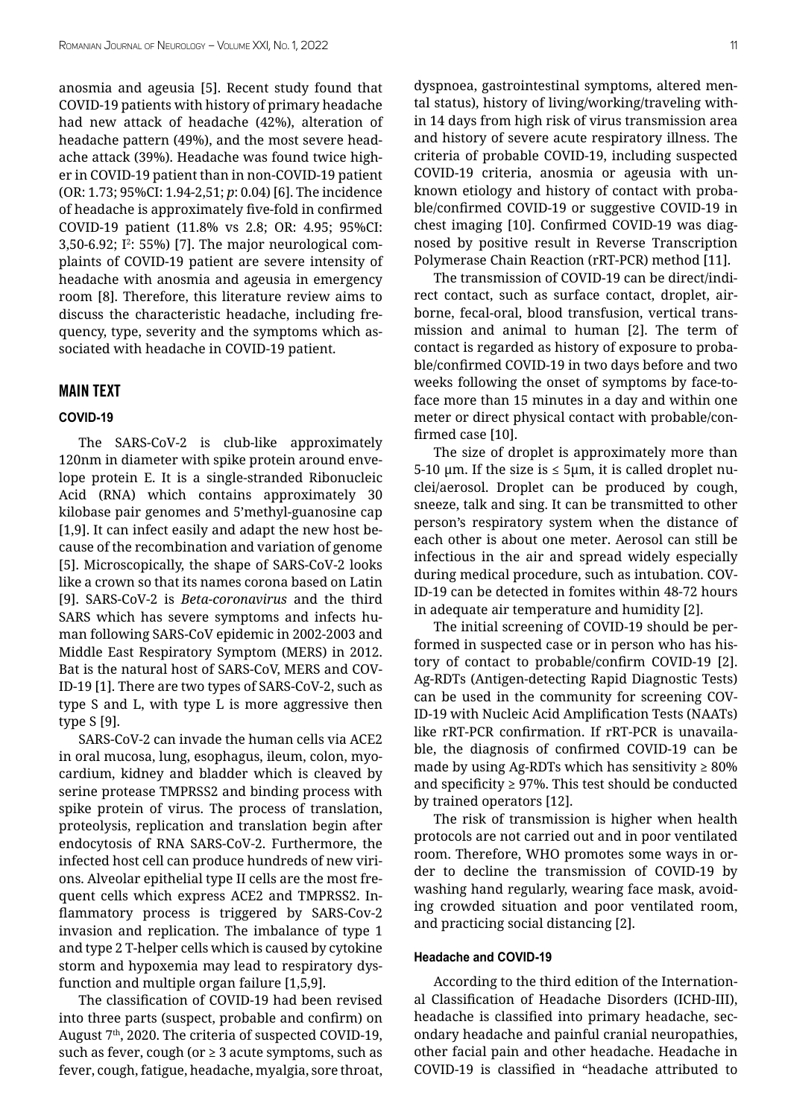anosmia and ageusia [5]. Recent study found that COVID-19 patients with history of primary headache had new attack of headache (42%), alteration of headache pattern (49%), and the most severe headache attack (39%). Headache was found twice higher in COVID-19 patient than in non-COVID-19 patient (OR: 1.73; 95%CI: 1.94-2,51; *p*: 0.04) [6]. The incidence of headache is approximately five-fold in confirmed COVID-19 patient (11.8% vs 2.8; OR: 4.95; 95%CI:  $3,50$ -6.92; I<sup>2</sup>: 55%) [7]. The major neurological complaints of COVID-19 patient are severe intensity of headache with anosmia and ageusia in emergency room [8]. Therefore, this literature review aims to discuss the characteristic headache, including frequency, type, severity and the symptoms which associated with headache in COVID-19 patient.

### MAIN TEXT

#### **COVID-19**

The SARS-CoV-2 is club-like approximately 120nm in diameter with spike protein around envelope protein E. It is a single-stranded Ribonucleic Acid (RNA) which contains approximately 30 kilobase pair genomes and 5'methyl-guanosine cap [1,9]. It can infect easily and adapt the new host because of the recombination and variation of genome [5]. Microscopically, the shape of SARS-CoV-2 looks like a crown so that its names corona based on Latin [9]. SARS-CoV-2 is *Beta-coronavirus* and the third SARS which has severe symptoms and infects human following SARS-CoV epidemic in 2002-2003 and Middle East Respiratory Symptom (MERS) in 2012. Bat is the natural host of SARS-CoV, MERS and COV-ID-19 [1]. There are two types of SARS-CoV-2, such as type S and L, with type L is more aggressive then type S [9].

SARS-CoV-2 can invade the human cells via ACE2 in oral mucosa, lung, esophagus, ileum, colon, myocardium, kidney and bladder which is cleaved by serine protease TMPRSS2 and binding process with spike protein of virus. The process of translation, proteolysis, replication and translation begin after endocytosis of RNA SARS-CoV-2. Furthermore, the infected host cell can produce hundreds of new virions. Alveolar epithelial type II cells are the most frequent cells which express ACE2 and TMPRSS2. Inflammatory process is triggered by SARS-Cov-2 invasion and replication. The imbalance of type 1 and type 2 T-helper cells which is caused by cytokine storm and hypoxemia may lead to respiratory dysfunction and multiple organ failure [1,5,9].

The classification of COVID-19 had been revised into three parts (suspect, probable and confirm) on August 7th, 2020. The criteria of suspected COVID-19, such as fever, cough (or  $\geq 3$  acute symptoms, such as fever, cough, fatigue, headache, myalgia, sore throat,

dyspnoea, gastrointestinal symptoms, altered mental status), history of living/working/traveling within 14 days from high risk of virus transmission area and history of severe acute respiratory illness. The criteria of probable COVID-19, including suspected COVID-19 criteria, anosmia or ageusia with unknown etiology and history of contact with probable/confirmed COVID-19 or suggestive COVID-19 in chest imaging [10]. Confirmed COVID-19 was diagnosed by positive result in Reverse Transcription Polymerase Chain Reaction (rRT-PCR) method [11].

The transmission of COVID-19 can be direct/indirect contact, such as surface contact, droplet, airborne, fecal-oral, blood transfusion, vertical transmission and animal to human [2]. The term of contact is regarded as history of exposure to probable/confirmed COVID-19 in two days before and two weeks following the onset of symptoms by face-toface more than 15 minutes in a day and within one meter or direct physical contact with probable/confirmed case [10].

The size of droplet is approximately more than 5-10  $\mu$ m. If the size is  $\leq$  5 $\mu$ m, it is called droplet nuclei/aerosol. Droplet can be produced by cough, sneeze, talk and sing. It can be transmitted to other person's respiratory system when the distance of each other is about one meter. Aerosol can still be infectious in the air and spread widely especially during medical procedure, such as intubation. COV-ID-19 can be detected in fomites within 48-72 hours in adequate air temperature and humidity [2].

The initial screening of COVID-19 should be performed in suspected case or in person who has history of contact to probable/confirm COVID-19 [2]. Ag-RDTs (Antigen-detecting Rapid Diagnostic Tests) can be used in the community for screening COV-ID-19 with Nucleic Acid Amplification Tests (NAATs) like rRT-PCR confirmation. If rRT-PCR is unavailable, the diagnosis of confirmed COVID-19 can be made by using Ag-RDTs which has sensitivity  $\geq 80\%$ and specificity  $\geq$  97%. This test should be conducted by trained operators [12].

The risk of transmission is higher when health protocols are not carried out and in poor ventilated room. Therefore, WHO promotes some ways in order to decline the transmission of COVID-19 by washing hand regularly, wearing face mask, avoiding crowded situation and poor ventilated room, and practicing social distancing [2].

#### **Headache and COVID-19**

According to the third edition of the International Classification of Headache Disorders (ICHD-III), headache is classified into primary headache, secondary headache and painful cranial neuropathies, other facial pain and other headache. Headache in COVID-19 is classified in "headache attributed to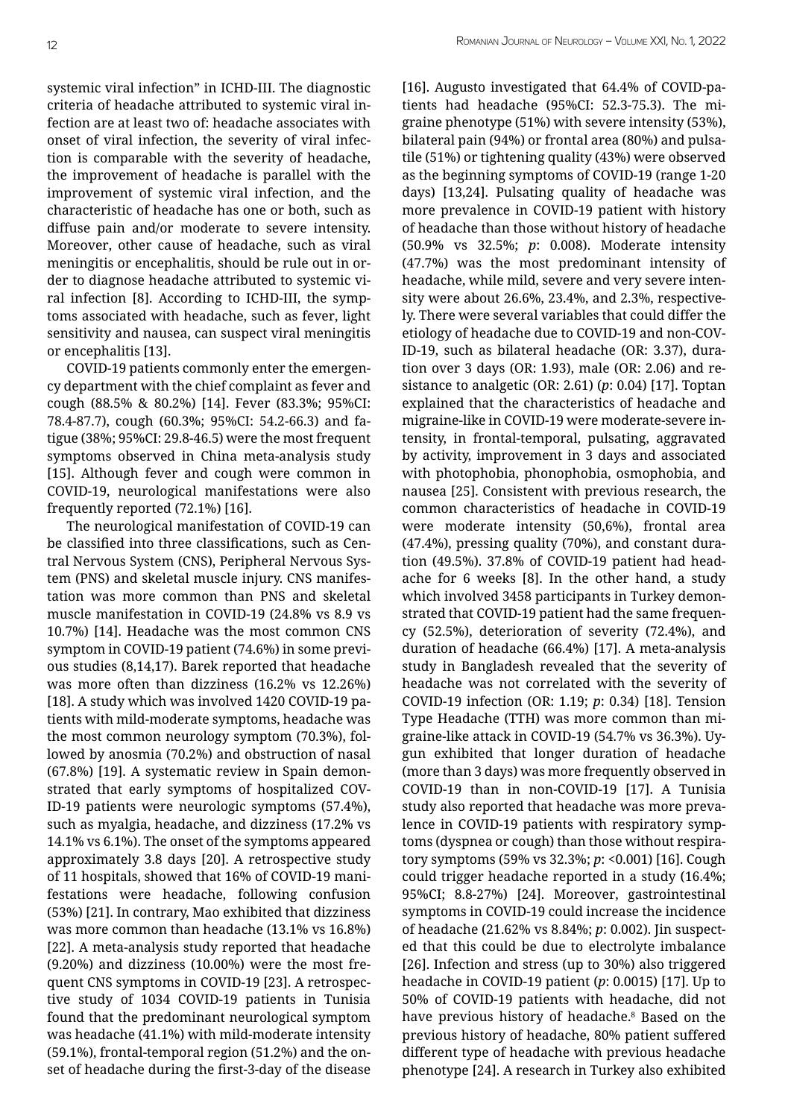systemic viral infection" in ICHD-III. The diagnostic criteria of headache attributed to systemic viral infection are at least two of: headache associates with onset of viral infection, the severity of viral infection is comparable with the severity of headache, the improvement of headache is parallel with the improvement of systemic viral infection, and the characteristic of headache has one or both, such as diffuse pain and/or moderate to severe intensity. Moreover, other cause of headache, such as viral meningitis or encephalitis, should be rule out in order to diagnose headache attributed to systemic viral infection [8]. According to ICHD-III, the symptoms associated with headache, such as fever, light sensitivity and nausea, can suspect viral meningitis or encephalitis [13].

COVID-19 patients commonly enter the emergency department with the chief complaint as fever and cough (88.5% & 80.2%) [14]. Fever (83.3%; 95%CI: 78.4-87.7), cough (60.3%; 95%CI: 54.2-66.3) and fatigue (38%; 95%CI: 29.8-46.5) were the most frequent symptoms observed in China meta-analysis study [15]. Although fever and cough were common in COVID-19, neurological manifestations were also frequently reported (72.1%) [16].

The neurological manifestation of COVID-19 can be classified into three classifications, such as Central Nervous System (CNS), Peripheral Nervous System (PNS) and skeletal muscle injury. CNS manifestation was more common than PNS and skeletal muscle manifestation in COVID-19 (24.8% vs 8.9 vs 10.7%) [14]. Headache was the most common CNS symptom in COVID-19 patient (74.6%) in some previous studies (8,14,17). Barek reported that headache was more often than dizziness (16.2% vs 12.26%) [18]. A study which was involved 1420 COVID-19 patients with mild-moderate symptoms, headache was the most common neurology symptom (70.3%), followed by anosmia (70.2%) and obstruction of nasal (67.8%) [19]. A systematic review in Spain demonstrated that early symptoms of hospitalized COV-ID-19 patients were neurologic symptoms (57.4%), such as myalgia, headache, and dizziness (17.2% vs 14.1% vs 6.1%). The onset of the symptoms appeared approximately 3.8 days [20]. A retrospective study of 11 hospitals, showed that 16% of COVID-19 manifestations were headache, following confusion (53%) [21]. In contrary, Mao exhibited that dizziness was more common than headache (13.1% vs 16.8%) [22]. A meta-analysis study reported that headache (9.20%) and dizziness (10.00%) were the most frequent CNS symptoms in COVID-19 [23]. A retrospective study of 1034 COVID-19 patients in Tunisia found that the predominant neurological symptom was headache (41.1%) with mild-moderate intensity (59.1%), frontal-temporal region (51.2%) and the onset of headache during the first-3-day of the disease

[16]. Augusto investigated that 64.4% of COVID-patients had headache (95%CI: 52.3-75.3). The migraine phenotype (51%) with severe intensity (53%), bilateral pain (94%) or frontal area (80%) and pulsatile (51%) or tightening quality (43%) were observed as the beginning symptoms of COVID-19 (range 1-20 days) [13,24]. Pulsating quality of headache was more prevalence in COVID-19 patient with history of headache than those without history of headache (50.9% vs 32.5%; *p*: 0.008). Moderate intensity (47.7%) was the most predominant intensity of headache, while mild, severe and very severe intensity were about 26.6%, 23.4%, and 2.3%, respectively. There were several variables that could differ the etiology of headache due to COVID-19 and non-COV-ID-19, such as bilateral headache (OR: 3.37), duration over 3 days (OR: 1.93), male (OR: 2.06) and resistance to analgetic (OR: 2.61) (*p*: 0.04) [17]. Toptan explained that the characteristics of headache and migraine-like in COVID-19 were moderate-severe intensity, in frontal-temporal, pulsating, aggravated by activity, improvement in 3 days and associated with photophobia, phonophobia, osmophobia, and nausea [25]. Consistent with previous research, the common characteristics of headache in COVID-19 were moderate intensity (50,6%), frontal area (47.4%), pressing quality (70%), and constant duration (49.5%). 37.8% of COVID-19 patient had headache for 6 weeks [8]. In the other hand, a study which involved 3458 participants in Turkey demonstrated that COVID-19 patient had the same frequency (52.5%), deterioration of severity (72.4%), and duration of headache (66.4%) [17]. A meta-analysis study in Bangladesh revealed that the severity of headache was not correlated with the severity of COVID-19 infection (OR: 1.19; *p*: 0.34) [18]. Tension Type Headache (TTH) was more common than migraine-like attack in COVID-19 (54.7% vs 36.3%). Uygun exhibited that longer duration of headache (more than 3 days) was more frequently observed in COVID-19 than in non-COVID-19 [17]. A Tunisia study also reported that headache was more prevalence in COVID-19 patients with respiratory symptoms (dyspnea or cough) than those without respiratory symptoms (59% vs 32.3%; *p*: <0.001) [16]. Cough could trigger headache reported in a study (16.4%; 95%CI; 8.8-27%) [24]. Moreover, gastrointestinal symptoms in COVID-19 could increase the incidence of headache (21.62% vs 8.84%; *p*: 0.002). Jin suspected that this could be due to electrolyte imbalance [26]. Infection and stress (up to 30%) also triggered headache in COVID-19 patient (*p*: 0.0015) [17]. Up to 50% of COVID-19 patients with headache, did not have previous history of headache.8 Based on the previous history of headache, 80% patient suffered different type of headache with previous headache phenotype [24]. A research in Turkey also exhibited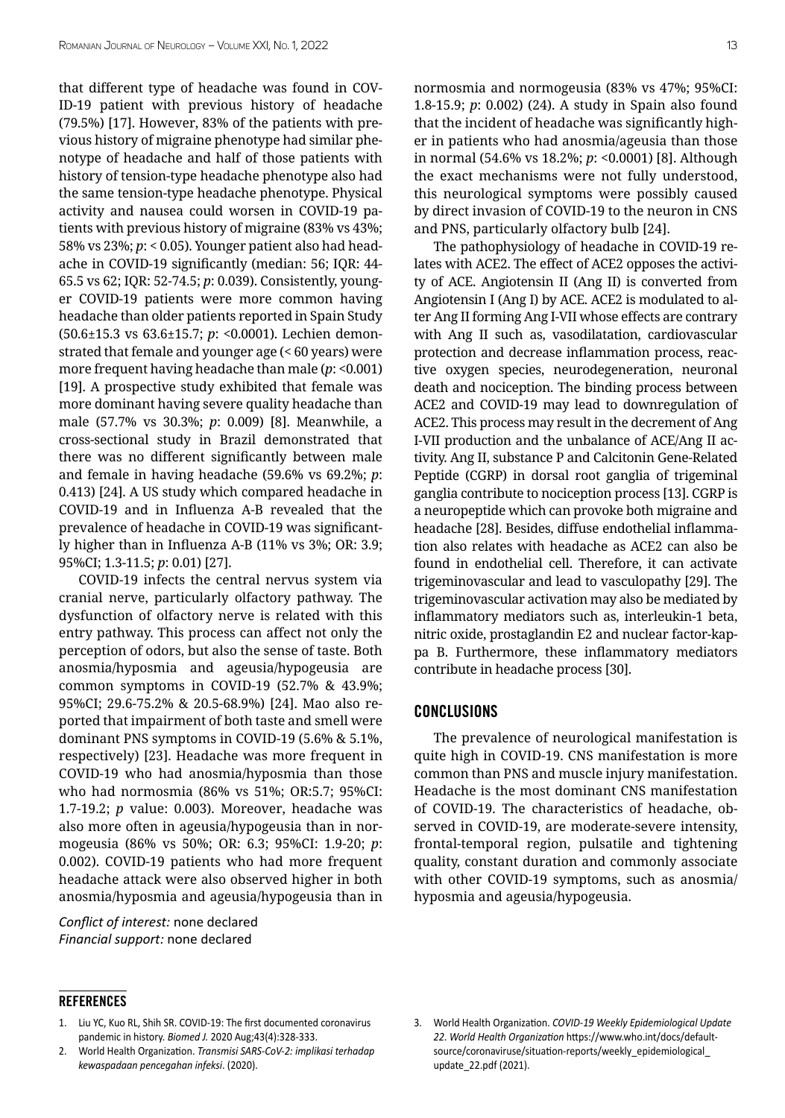that different type of headache was found in COV-ID-19 patient with previous history of headache (79.5%) [17]. However, 83% of the patients with previous history of migraine phenotype had similar phenotype of headache and half of those patients with history of tension-type headache phenotype also had the same tension-type headache phenotype. Physical activity and nausea could worsen in COVID-19 patients with previous history of migraine (83% vs 43%; 58% vs 23%; *p*: < 0.05). Younger patient also had headache in COVID-19 significantly (median: 56; IQR: 44- 65.5 vs 62; IQR: 52-74.5; *p*: 0.039). Consistently, younger COVID-19 patients were more common having headache than older patients reported in Spain Study (50.6±15.3 vs 63.6±15.7; *p*: <0.0001). Lechien demonstrated that female and younger age (< 60 years) were more frequent having headache than male (*p*: <0.001) [19]. A prospective study exhibited that female was more dominant having severe quality headache than male (57.7% vs 30.3%; *p*: 0.009) [8]. Meanwhile, a cross-sectional study in Brazil demonstrated that there was no different significantly between male and female in having headache (59.6% vs 69.2%; *p*: 0.413) [24]. A US study which compared headache in COVID-19 and in Influenza A-B revealed that the prevalence of headache in COVID-19 was significantly higher than in Influenza A-B (11% vs 3%; OR: 3.9; 95%CI; 1.3-11.5; *p*: 0.01) [27].

COVID-19 infects the central nervus system via cranial nerve, particularly olfactory pathway. The dysfunction of olfactory nerve is related with this entry pathway. This process can affect not only the perception of odors, but also the sense of taste. Both anosmia/hyposmia and ageusia/hypogeusia are common symptoms in COVID-19 (52.7% & 43.9%; 95%CI; 29.6-75.2% & 20.5-68.9%) [24]. Mao also reported that impairment of both taste and smell were dominant PNS symptoms in COVID-19 (5.6% & 5.1%, respectively) [23]. Headache was more frequent in COVID-19 who had anosmia/hyposmia than those who had normosmia (86% vs 51%; OR:5.7; 95%CI: 1.7-19.2; *p* value: 0.003). Moreover, headache was also more often in ageusia/hypogeusia than in normogeusia (86% vs 50%; OR: 6.3; 95%CI: 1.9-20; *p*: 0.002). COVID-19 patients who had more frequent headache attack were also observed higher in both anosmia/hyposmia and ageusia/hypogeusia than in

*Conflict of interest:* none declared *Financial support:* none declared

normosmia and normogeusia (83% vs 47%; 95%CI: 1.8-15.9; *p*: 0.002) (24). A study in Spain also found that the incident of headache was significantly higher in patients who had anosmia/ageusia than those in normal (54.6% vs 18.2%; *p*: <0.0001) [8]. Although the exact mechanisms were not fully understood, this neurological symptoms were possibly caused by direct invasion of COVID-19 to the neuron in CNS and PNS, particularly olfactory bulb [24].

The pathophysiology of headache in COVID-19 relates with ACE2. The effect of ACE2 opposes the activity of ACE. Angiotensin II (Ang II) is converted from Angiotensin I (Ang I) by ACE. ACE2 is modulated to alter Ang II forming Ang I-VII whose effects are contrary with Ang II such as, vasodilatation, cardiovascular protection and decrease inflammation process, reactive oxygen species, neurodegeneration, neuronal death and nociception. The binding process between ACE2 and COVID-19 may lead to downregulation of ACE2. This process may result in the decrement of Ang I-VII production and the unbalance of ACE/Ang II activity. Ang II, substance P and Calcitonin Gene-Related Peptide (CGRP) in dorsal root ganglia of trigeminal ganglia contribute to nociception process [13]. CGRP is a neuropeptide which can provoke both migraine and headache [28]. Besides, diffuse endothelial inflammation also relates with headache as ACE2 can also be found in endothelial cell. Therefore, it can activate trigeminovascular and lead to vasculopathy [29]. The trigeminovascular activation may also be mediated by inflammatory mediators such as, interleukin-1 beta, nitric oxide, prostaglandin E2 and nuclear factor-kappa B. Furthermore, these inflammatory mediators contribute in headache process [30].

## Conclusions

The prevalence of neurological manifestation is quite high in COVID-19. CNS manifestation is more common than PNS and muscle injury manifestation. Headache is the most dominant CNS manifestation of COVID-19. The characteristics of headache, observed in COVID-19, are moderate-severe intensity, frontal-temporal region, pulsatile and tightening quality, constant duration and commonly associate with other COVID-19 symptoms, such as anosmia/ hyposmia and ageusia/hypogeusia.

#### References

- 1. Liu YC, Kuo RL, Shih SR. COVID-19: The first documented coronavirus pandemic in history. *Biomed J.* 2020 Aug;43(4):328-333.
- 2. World Health Organization. *Transmisi SARS-CoV-2: implikasi terhadap kewaspadaan pencegahan infeksi*. (2020).
- 3. World Health Organization. *COVID-19 Weekly Epidemiological Update 22*. *World Health Organization* https://www.who.int/docs/defaultsource/coronaviruse/situation-reports/weekly\_epidemiological\_ update\_22.pdf (2021).